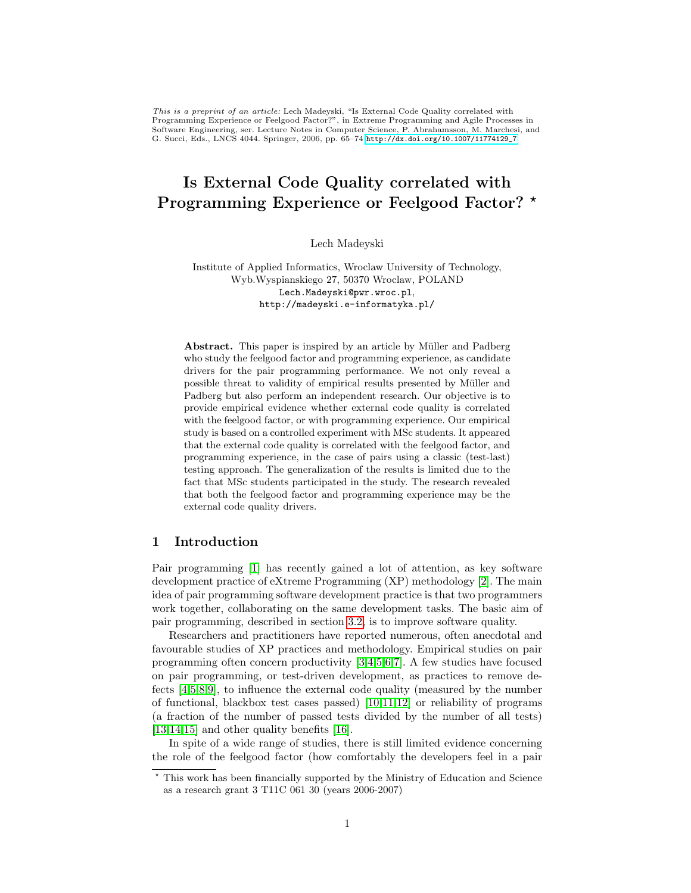This is a preprint of an article: Lech Madeyski, "Is External Code Quality correlated with Programming Experience or Feelgood Factor?", in Extreme Programming and Agile Processes in Software Engineering, ser. Lecture Notes in Computer Science, P. Abrahamsson, M. Marchesi, and G. Succi, Eds., LNCS 4044. Springer, 2006, pp. 65–74 [http://dx.doi.org/10.1007/11774129\\_7](http://dx.doi.org/10.1007/11774129_7)

# Is External Code Quality correlated with Programming Experience or Feelgood Factor? \*

Lech Madeyski

Institute of Applied Informatics, Wroclaw University of Technology, Wyb.Wyspianskiego 27, 50370 Wroclaw, POLAND Lech.Madeyski@pwr.wroc.pl, http://madeyski.e-informatyka.pl/

Abstract. This paper is inspired by an article by Müller and Padberg who study the feelgood factor and programming experience, as candidate drivers for the pair programming performance. We not only reveal a possible threat to validity of empirical results presented by Müller and Padberg but also perform an independent research. Our objective is to provide empirical evidence whether external code quality is correlated with the feelgood factor, or with programming experience. Our empirical study is based on a controlled experiment with MSc students. It appeared that the external code quality is correlated with the feelgood factor, and programming experience, in the case of pairs using a classic (test-last) testing approach. The generalization of the results is limited due to the fact that MSc students participated in the study. The research revealed that both the feelgood factor and programming experience may be the external code quality drivers.

## 1 Introduction

Pair programming [\[1\]](#page-8-0) has recently gained a lot of attention, as key software development practice of eXtreme Programming (XP) methodology [\[2\]](#page-8-1). The main idea of pair programming software development practice is that two programmers work together, collaborating on the same development tasks. The basic aim of pair programming, described in section [3.2,](#page-2-0) is to improve software quality.

Researchers and practitioners have reported numerous, often anecdotal and favourable studies of XP practices and methodology. Empirical studies on pair programming often concern productivity [\[3,](#page-8-2)[4,](#page-8-3)[5,](#page-8-4)[6](#page-8-5)[,7\]](#page-8-6). A few studies have focused on pair programming, or test-driven development, as practices to remove defects [\[4,](#page-8-3)[5,](#page-8-4)[8](#page-8-7)[,9\]](#page-8-8), to influence the external code quality (measured by the number of functional, blackbox test cases passed) [\[10](#page-8-9)[,11,](#page-8-10)[12\]](#page-9-0) or reliability of programs (a fraction of the number of passed tests divided by the number of all tests) [\[13](#page-9-1)[,14](#page-9-2)[,15\]](#page-9-3) and other quality benefits [\[16\]](#page-9-4).

In spite of a wide range of studies, there is still limited evidence concerning the role of the feelgood factor (how comfortably the developers feel in a pair

<sup>?</sup> This work has been financially supported by the Ministry of Education and Science as a research grant 3 T11C 061 30 (years 2006-2007)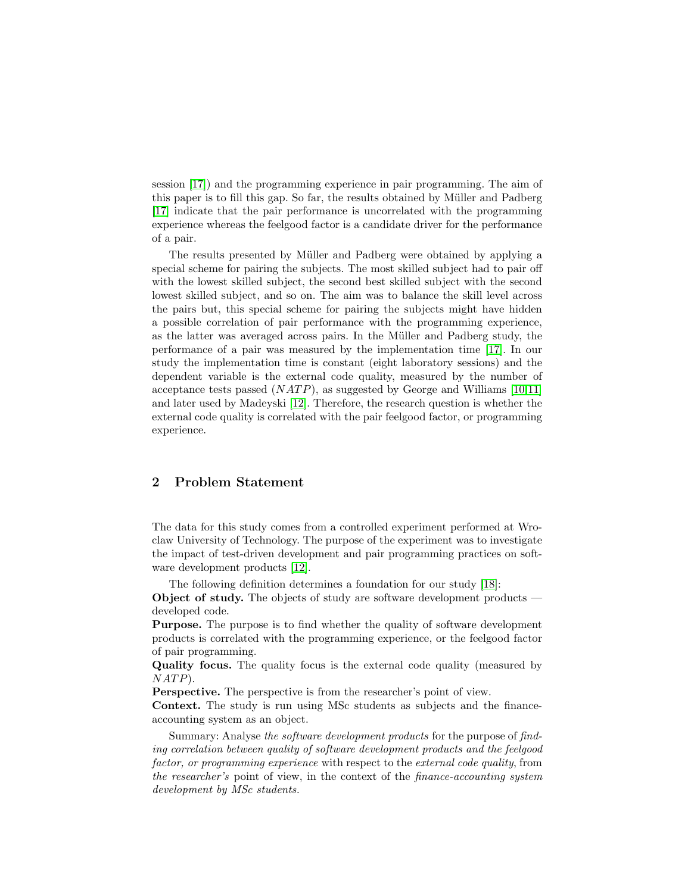session [\[17\]](#page-9-5)) and the programming experience in pair programming. The aim of this paper is to fill this gap. So far, the results obtained by Müller and Padberg [\[17\]](#page-9-5) indicate that the pair performance is uncorrelated with the programming experience whereas the feelgood factor is a candidate driver for the performance of a pair.

The results presented by Müller and Padberg were obtained by applying a special scheme for pairing the subjects. The most skilled subject had to pair off with the lowest skilled subject, the second best skilled subject with the second lowest skilled subject, and so on. The aim was to balance the skill level across the pairs but, this special scheme for pairing the subjects might have hidden a possible correlation of pair performance with the programming experience, as the latter was averaged across pairs. In the Müller and Padberg study, the performance of a pair was measured by the implementation time [\[17\]](#page-9-5). In our study the implementation time is constant (eight laboratory sessions) and the dependent variable is the external code quality, measured by the number of acceptance tests passed  $(NATP)$ , as suggested by George and Williams [\[10,](#page-8-9)[11\]](#page-8-10) and later used by Madeyski [\[12\]](#page-9-0). Therefore, the research question is whether the external code quality is correlated with the pair feelgood factor, or programming experience.

# 2 Problem Statement

The data for this study comes from a controlled experiment performed at Wroclaw University of Technology. The purpose of the experiment was to investigate the impact of test-driven development and pair programming practices on software development products [\[12\]](#page-9-0).

The following definition determines a foundation for our study [\[18\]](#page-9-6): Object of study. The objects of study are software development products developed code.

Purpose. The purpose is to find whether the quality of software development products is correlated with the programming experience, or the feelgood factor of pair programming.

Quality focus. The quality focus is the external code quality (measured by  $NATP$ ).

Perspective. The perspective is from the researcher's point of view.

Context. The study is run using MSc students as subjects and the financeaccounting system as an object.

Summary: Analyse the software development products for the purpose of finding correlation between quality of software development products and the feelgood factor, or programming experience with respect to the external code quality, from the researcher's point of view, in the context of the finance-accounting system development by MSc students.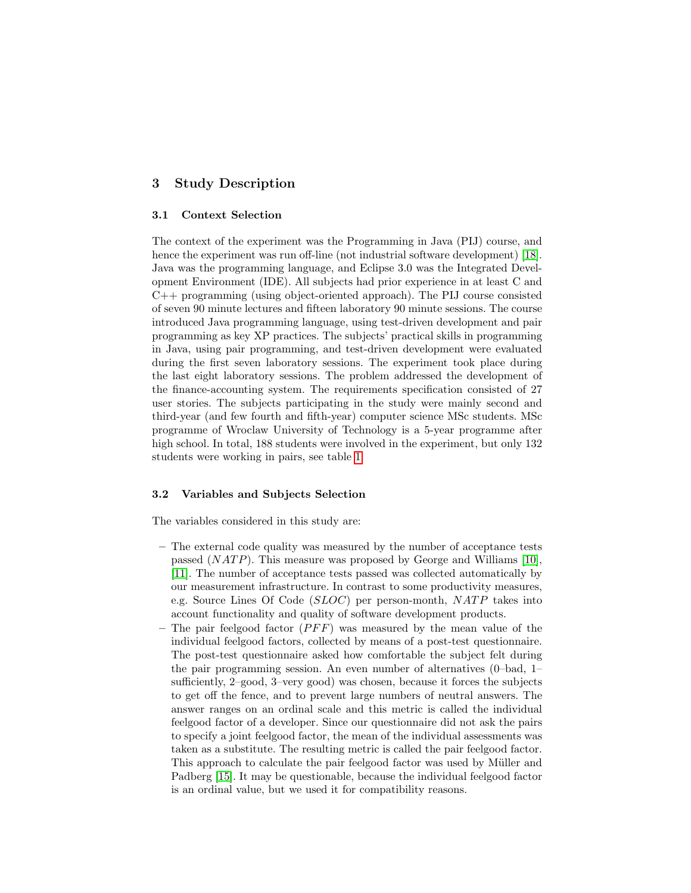# 3 Study Description

#### 3.1 Context Selection

The context of the experiment was the Programming in Java (PIJ) course, and hence the experiment was run off-line (not industrial software development) [\[18\]](#page-9-6). Java was the programming language, and Eclipse 3.0 was the Integrated Development Environment (IDE). All subjects had prior experience in at least C and C++ programming (using object-oriented approach). The PIJ course consisted of seven 90 minute lectures and fifteen laboratory 90 minute sessions. The course introduced Java programming language, using test-driven development and pair programming as key XP practices. The subjects' practical skills in programming in Java, using pair programming, and test-driven development were evaluated during the first seven laboratory sessions. The experiment took place during the last eight laboratory sessions. The problem addressed the development of the finance-accounting system. The requirements specification consisted of 27 user stories. The subjects participating in the study were mainly second and third-year (and few fourth and fifth-year) computer science MSc students. MSc programme of Wroclaw University of Technology is a 5-year programme after high school. In total, 188 students were involved in the experiment, but only 132 students were working in pairs, see table [1.](#page-3-0)

#### <span id="page-2-0"></span>3.2 Variables and Subjects Selection

The variables considered in this study are:

- The external code quality was measured by the number of acceptance tests passed  $(NATP)$ . This measure was proposed by George and Williams [\[10\]](#page-8-9), [\[11\]](#page-8-10). The number of acceptance tests passed was collected automatically by our measurement infrastructure. In contrast to some productivity measures, e.g. Source Lines Of Code  $(SLOC)$  per person-month,  $NATP$  takes into account functionality and quality of software development products.
- The pair feelgood factor  $(PFF)$  was measured by the mean value of the individual feelgood factors, collected by means of a post-test questionnaire. The post-test questionnaire asked how comfortable the subject felt during the pair programming session. An even number of alternatives (0–bad, 1– sufficiently, 2–good, 3–very good) was chosen, because it forces the subjects to get off the fence, and to prevent large numbers of neutral answers. The answer ranges on an ordinal scale and this metric is called the individual feelgood factor of a developer. Since our questionnaire did not ask the pairs to specify a joint feelgood factor, the mean of the individual assessments was taken as a substitute. The resulting metric is called the pair feelgood factor. This approach to calculate the pair feelgood factor was used by Müller and Padberg [\[15\]](#page-9-3). It may be questionable, because the individual feelgood factor is an ordinal value, but we used it for compatibility reasons.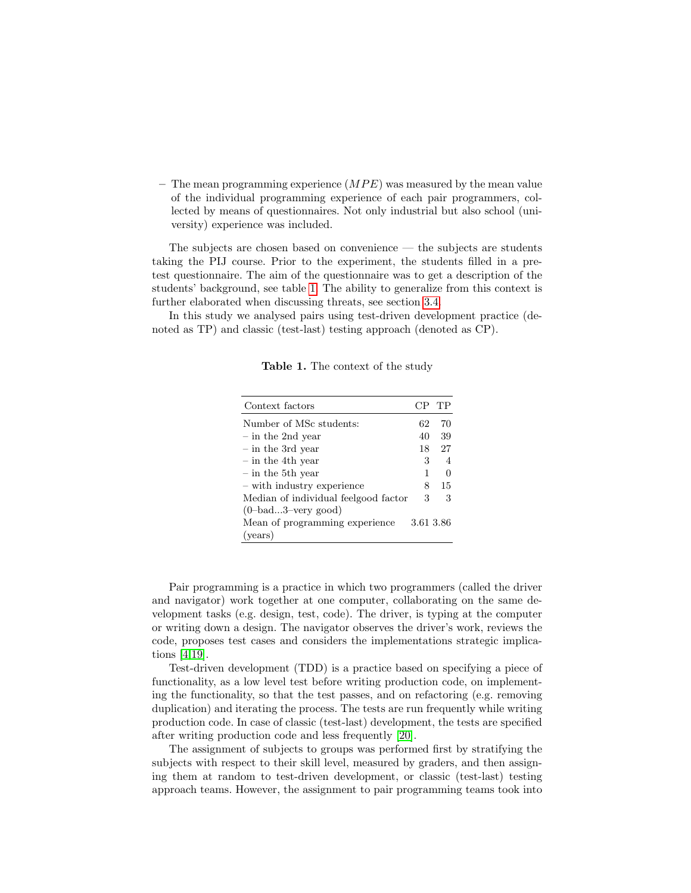– The mean programming experience  $(MPE)$  was measured by the mean value of the individual programming experience of each pair programmers, collected by means of questionnaires. Not only industrial but also school (university) experience was included.

The subjects are chosen based on convenience — the subjects are students taking the PIJ course. Prior to the experiment, the students filled in a pretest questionnaire. The aim of the questionnaire was to get a description of the students' background, see table [1.](#page-3-0) The ability to generalize from this context is further elaborated when discussing threats, see section [3.4.](#page-4-0)

In this study we analysed pairs using test-driven development practice (denoted as TP) and classic (test-last) testing approach (denoted as CP).

| Context factors                      | CP        | TР             |
|--------------------------------------|-----------|----------------|
| Number of MSc students:              | 62        | 70             |
| $-$ in the 2nd year                  | 40        | 39             |
| $-$ in the 3rd year                  | 18        | 27             |
| $-$ in the 4th year                  | 3         | $\overline{A}$ |
| $-$ in the 5th year                  | 1         | $\mathbf{0}$   |
| - with industry experience           | 8         | 15             |
| Median of individual feelgood factor | 3         | 3              |
| $(0$ -bad3-very good)                |           |                |
| Mean of programming experience       | 3.61 3.86 |                |
| (years)                              |           |                |

<span id="page-3-0"></span>Table 1. The context of the study

Pair programming is a practice in which two programmers (called the driver and navigator) work together at one computer, collaborating on the same development tasks (e.g. design, test, code). The driver, is typing at the computer or writing down a design. The navigator observes the driver's work, reviews the code, proposes test cases and considers the implementations strategic implications [\[4,](#page-8-3)[19\]](#page-9-7).

Test-driven development (TDD) is a practice based on specifying a piece of functionality, as a low level test before writing production code, on implementing the functionality, so that the test passes, and on refactoring (e.g. removing duplication) and iterating the process. The tests are run frequently while writing production code. In case of classic (test-last) development, the tests are specified after writing production code and less frequently [\[20\]](#page-9-8).

The assignment of subjects to groups was performed first by stratifying the subjects with respect to their skill level, measured by graders, and then assigning them at random to test-driven development, or classic (test-last) testing approach teams. However, the assignment to pair programming teams took into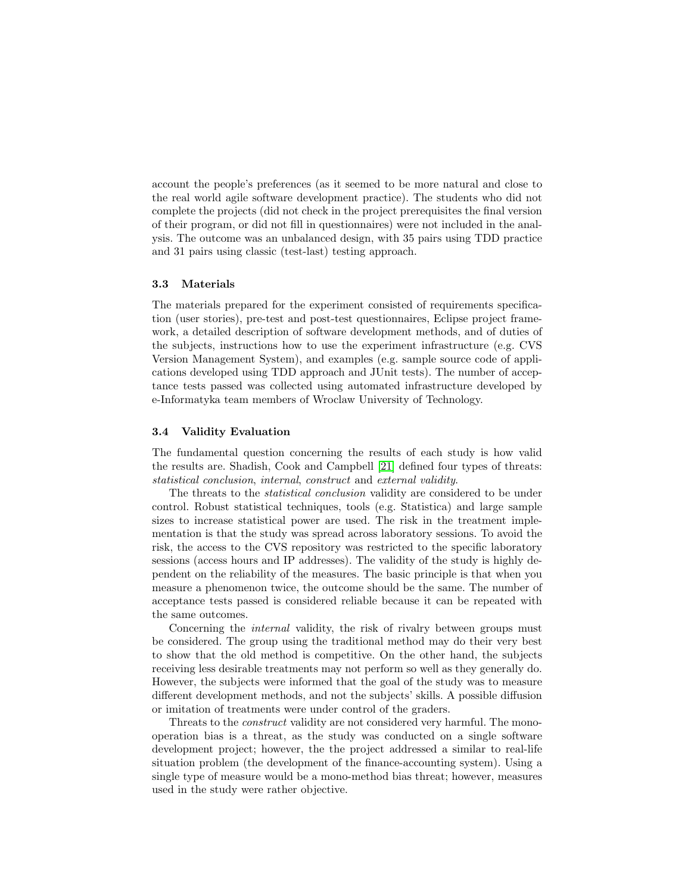account the people's preferences (as it seemed to be more natural and close to the real world agile software development practice). The students who did not complete the projects (did not check in the project prerequisites the final version of their program, or did not fill in questionnaires) were not included in the analysis. The outcome was an unbalanced design, with 35 pairs using TDD practice and 31 pairs using classic (test-last) testing approach.

#### <span id="page-4-1"></span>3.3 Materials

The materials prepared for the experiment consisted of requirements specification (user stories), pre-test and post-test questionnaires, Eclipse project framework, a detailed description of software development methods, and of duties of the subjects, instructions how to use the experiment infrastructure (e.g. CVS Version Management System), and examples (e.g. sample source code of applications developed using TDD approach and JUnit tests). The number of acceptance tests passed was collected using automated infrastructure developed by e-Informatyka team members of Wroclaw University of Technology.

## <span id="page-4-0"></span>3.4 Validity Evaluation

The fundamental question concerning the results of each study is how valid the results are. Shadish, Cook and Campbell [\[21\]](#page-9-9) defined four types of threats: statistical conclusion, internal, construct and external validity.

The threats to the *statistical conclusion* validity are considered to be under control. Robust statistical techniques, tools (e.g. Statistica) and large sample sizes to increase statistical power are used. The risk in the treatment implementation is that the study was spread across laboratory sessions. To avoid the risk, the access to the CVS repository was restricted to the specific laboratory sessions (access hours and IP addresses). The validity of the study is highly dependent on the reliability of the measures. The basic principle is that when you measure a phenomenon twice, the outcome should be the same. The number of acceptance tests passed is considered reliable because it can be repeated with the same outcomes.

Concerning the *internal* validity, the risk of rivalry between groups must be considered. The group using the traditional method may do their very best to show that the old method is competitive. On the other hand, the subjects receiving less desirable treatments may not perform so well as they generally do. However, the subjects were informed that the goal of the study was to measure different development methods, and not the subjects' skills. A possible diffusion or imitation of treatments were under control of the graders.

Threats to the construct validity are not considered very harmful. The monooperation bias is a threat, as the study was conducted on a single software development project; however, the the project addressed a similar to real-life situation problem (the development of the finance-accounting system). Using a single type of measure would be a mono-method bias threat; however, measures used in the study were rather objective.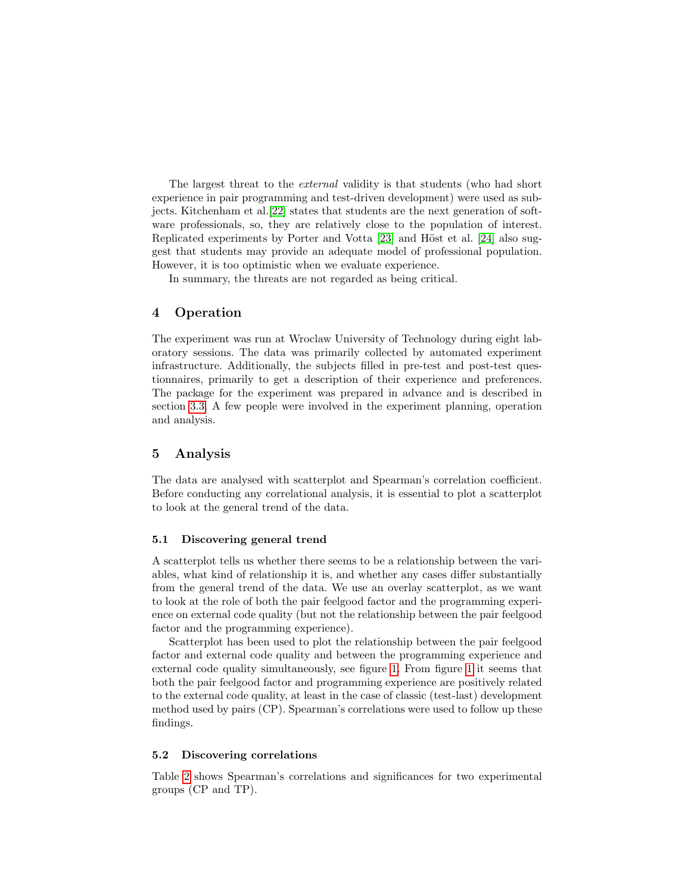The largest threat to the external validity is that students (who had short experience in pair programming and test-driven development) were used as subjects. Kitchenham et al.[\[22\]](#page-9-10) states that students are the next generation of software professionals, so, they are relatively close to the population of interest. Replicated experiments by Porter and Votta [\[23\]](#page-9-11) and Höst et al. [\[24\]](#page-9-12) also suggest that students may provide an adequate model of professional population. However, it is too optimistic when we evaluate experience.

In summary, the threats are not regarded as being critical.

## 4 Operation

The experiment was run at Wroclaw University of Technology during eight laboratory sessions. The data was primarily collected by automated experiment infrastructure. Additionally, the subjects filled in pre-test and post-test questionnaires, primarily to get a description of their experience and preferences. The package for the experiment was prepared in advance and is described in section [3.3.](#page-4-1) A few people were involved in the experiment planning, operation and analysis.

### 5 Analysis

The data are analysed with scatterplot and Spearman's correlation coefficient. Before conducting any correlational analysis, it is essential to plot a scatterplot to look at the general trend of the data.

#### 5.1 Discovering general trend

A scatterplot tells us whether there seems to be a relationship between the variables, what kind of relationship it is, and whether any cases differ substantially from the general trend of the data. We use an overlay scatterplot, as we want to look at the role of both the pair feelgood factor and the programming experience on external code quality (but not the relationship between the pair feelgood factor and the programming experience).

Scatterplot has been used to plot the relationship between the pair feelgood factor and external code quality and between the programming experience and external code quality simultaneously, see figure [1.](#page-6-0) From figure [1](#page-6-0) it seems that both the pair feelgood factor and programming experience are positively related to the external code quality, at least in the case of classic (test-last) development method used by pairs (CP). Spearman's correlations were used to follow up these findings.

#### 5.2 Discovering correlations

Table [2](#page-7-0) shows Spearman's correlations and significances for two experimental groups (CP and TP).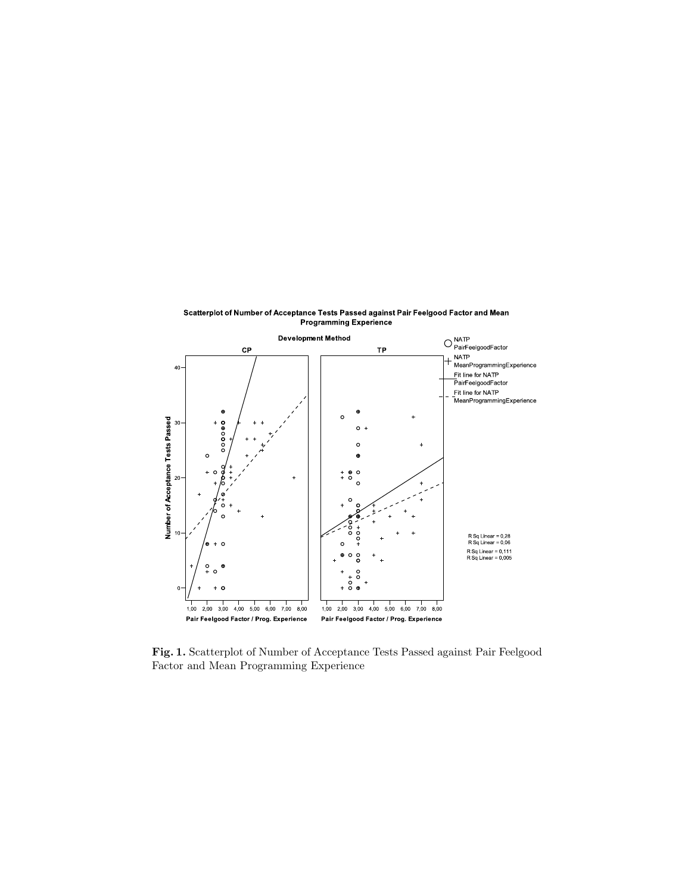

Scatterplot of Number of Acceptance Tests Passed against Pair Feelgood Factor and Mean Programming Experience

<span id="page-6-0"></span>Fig. 1. Scatterplot of Number of Acceptance Tests Passed against Pair Feelgood Factor and Mean Programming Experience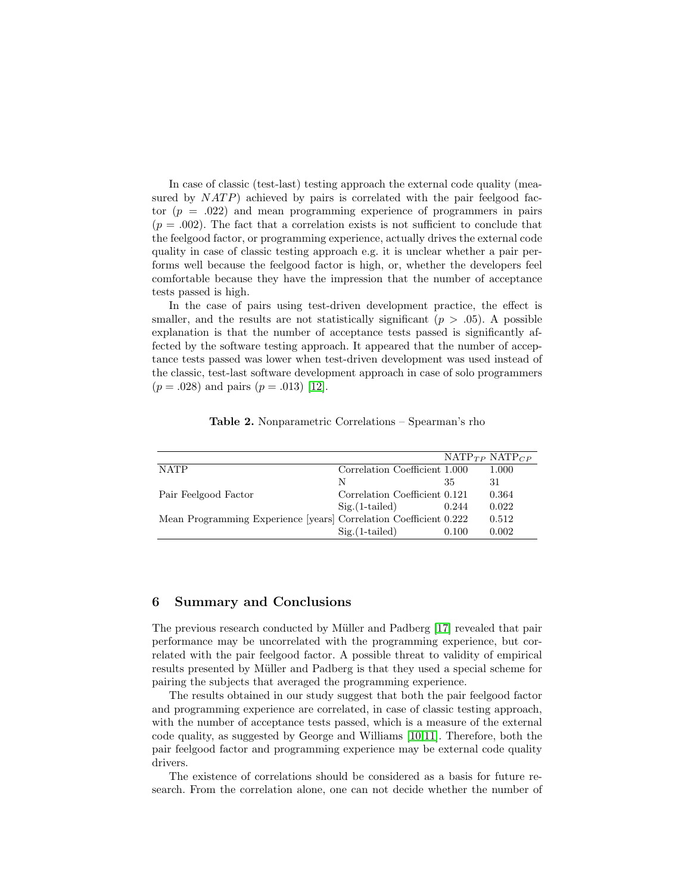In case of classic (test-last) testing approach the external code quality (measured by  $NATP$ ) achieved by pairs is correlated with the pair feelgood factor  $(p = .022)$  and mean programming experience of programmers in pairs  $(p = .002)$ . The fact that a correlation exists is not sufficient to conclude that the feelgood factor, or programming experience, actually drives the external code quality in case of classic testing approach e.g. it is unclear whether a pair performs well because the feelgood factor is high, or, whether the developers feel comfortable because they have the impression that the number of acceptance tests passed is high.

In the case of pairs using test-driven development practice, the effect is smaller, and the results are not statistically significant  $(p > .05)$ . A possible explanation is that the number of acceptance tests passed is significantly affected by the software testing approach. It appeared that the number of acceptance tests passed was lower when test-driven development was used instead of the classic, test-last software development approach in case of solo programmers  $(p = .028)$  and pairs  $(p = .013)$  [\[12\]](#page-9-0).

|                                                                   |                               |       | $NATP_{TP} NATP_{CP}$ |
|-------------------------------------------------------------------|-------------------------------|-------|-----------------------|
| <b>NATP</b>                                                       | Correlation Coefficient 1.000 |       | 1.000                 |
|                                                                   | N                             | 35    | 31                    |
| Pair Feelgood Factor                                              | Correlation Coefficient 0.121 |       | 0.364                 |
|                                                                   | $Sig.(1-tailed)$              | 0.244 | 0.022                 |
| Mean Programming Experience [years] Correlation Coefficient 0.222 |                               |       | 0.512                 |
|                                                                   | $Sig.(1-tailed)$              | 0.100 | 0.002                 |

<span id="page-7-0"></span>Table 2. Nonparametric Correlations – Spearman's rho

## 6 Summary and Conclusions

The previous research conducted by Müller and Padberg [\[17\]](#page-9-5) revealed that pair performance may be uncorrelated with the programming experience, but correlated with the pair feelgood factor. A possible threat to validity of empirical results presented by Müller and Padberg is that they used a special scheme for pairing the subjects that averaged the programming experience.

The results obtained in our study suggest that both the pair feelgood factor and programming experience are correlated, in case of classic testing approach, with the number of acceptance tests passed, which is a measure of the external code quality, as suggested by George and Williams [\[10](#page-8-9)[,11\]](#page-8-10). Therefore, both the pair feelgood factor and programming experience may be external code quality drivers.

The existence of correlations should be considered as a basis for future research. From the correlation alone, one can not decide whether the number of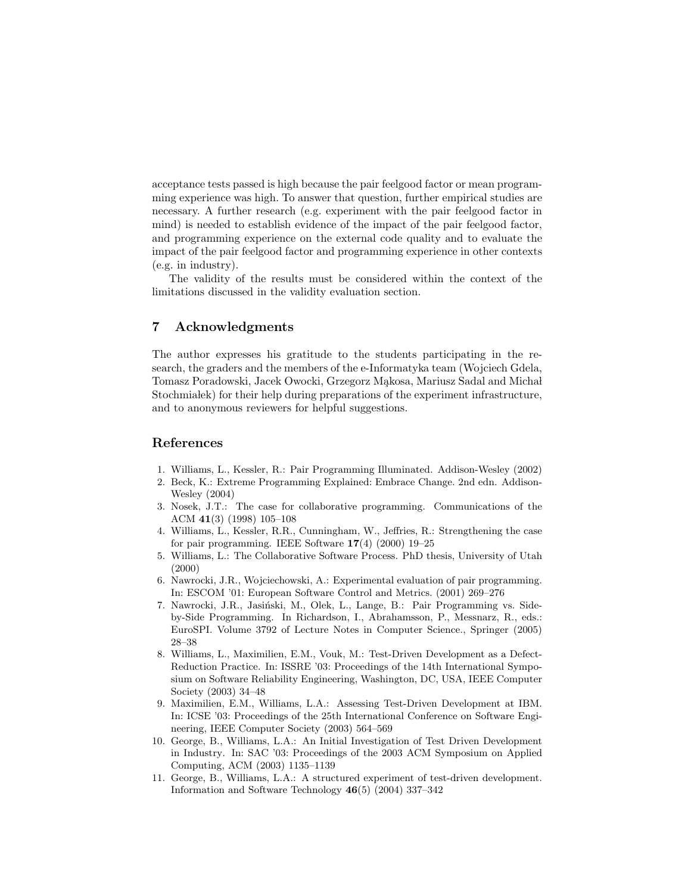acceptance tests passed is high because the pair feelgood factor or mean programming experience was high. To answer that question, further empirical studies are necessary. A further research (e.g. experiment with the pair feelgood factor in mind) is needed to establish evidence of the impact of the pair feelgood factor, and programming experience on the external code quality and to evaluate the impact of the pair feelgood factor and programming experience in other contexts (e.g. in industry).

The validity of the results must be considered within the context of the limitations discussed in the validity evaluation section.

## 7 Acknowledgments

The author expresses his gratitude to the students participating in the research, the graders and the members of the e-Informatyka team (Wojciech Gdela, Tomasz Poradowski, Jacek Owocki, Grzegorz Makosa, Mariusz Sadal and Michał Stochmia lek) for their help during preparations of the experiment infrastructure, and to anonymous reviewers for helpful suggestions.

# References

- <span id="page-8-0"></span>1. Williams, L., Kessler, R.: Pair Programming Illuminated. Addison-Wesley (2002)
- <span id="page-8-1"></span>2. Beck, K.: Extreme Programming Explained: Embrace Change. 2nd edn. Addison-Wesley (2004)
- <span id="page-8-2"></span>3. Nosek, J.T.: The case for collaborative programming. Communications of the ACM 41(3) (1998) 105–108
- <span id="page-8-3"></span>4. Williams, L., Kessler, R.R., Cunningham, W., Jeffries, R.: Strengthening the case for pair programming. IEEE Software  $17(4)$  (2000) 19–25
- <span id="page-8-4"></span>5. Williams, L.: The Collaborative Software Process. PhD thesis, University of Utah (2000)
- <span id="page-8-5"></span>6. Nawrocki, J.R., Wojciechowski, A.: Experimental evaluation of pair programming. In: ESCOM '01: European Software Control and Metrics. (2001) 269–276
- <span id="page-8-6"></span>7. Nawrocki, J.R., Jasiński, M., Olek, L., Lange, B.: Pair Programming vs. Sideby-Side Programming. In Richardson, I., Abrahamsson, P., Messnarz, R., eds.: EuroSPI. Volume 3792 of Lecture Notes in Computer Science., Springer (2005) 28–38
- <span id="page-8-7"></span>8. Williams, L., Maximilien, E.M., Vouk, M.: Test-Driven Development as a Defect-Reduction Practice. In: ISSRE '03: Proceedings of the 14th International Symposium on Software Reliability Engineering, Washington, DC, USA, IEEE Computer Society (2003) 34–48
- <span id="page-8-8"></span>9. Maximilien, E.M., Williams, L.A.: Assessing Test-Driven Development at IBM. In: ICSE '03: Proceedings of the 25th International Conference on Software Engineering, IEEE Computer Society (2003) 564–569
- <span id="page-8-9"></span>10. George, B., Williams, L.A.: An Initial Investigation of Test Driven Development in Industry. In: SAC '03: Proceedings of the 2003 ACM Symposium on Applied Computing, ACM (2003) 1135–1139
- <span id="page-8-10"></span>11. George, B., Williams, L.A.: A structured experiment of test-driven development. Information and Software Technology 46(5) (2004) 337–342